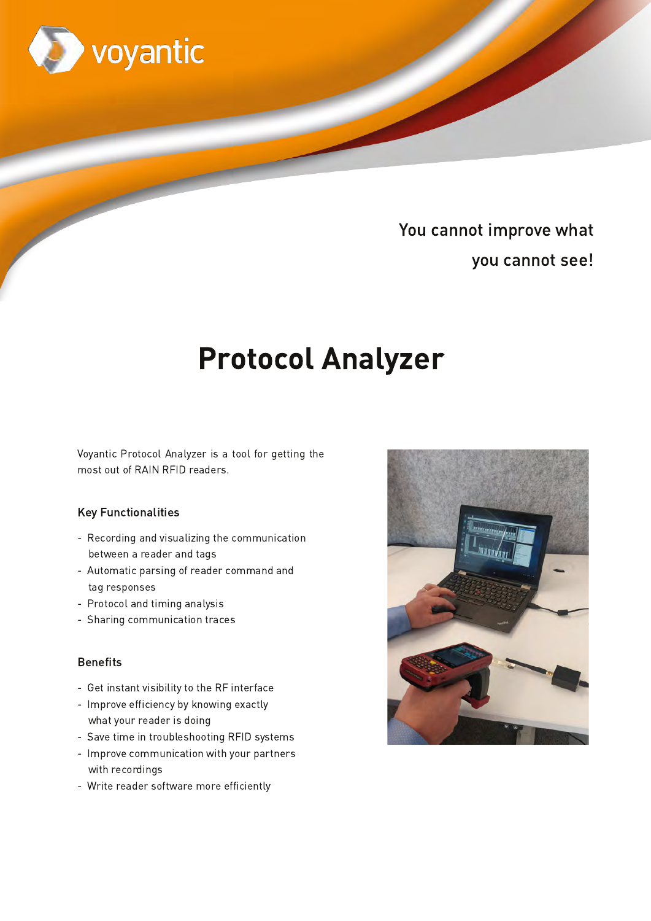

# You cannot improve what you cannot see!

# **Protocol Analyzer**

Voyantic Protocol Analyzer is a tool for getting the most out of RAIN RFID readers.

# **Key Functionalities**

- Recording and visualizing the communication between a reader and tags
- Automatic parsing of reader command and tag responses
- Protocol and timing analysis
- Sharing communication traces

#### **Benefits**

- Get instant visibility to the RF interface
- Improve efficiency by knowing exactly what your reader is doing
- Save time in troubleshooting RFID systems
- Improve communication with your partners with recordings
- Write reader software more efficiently